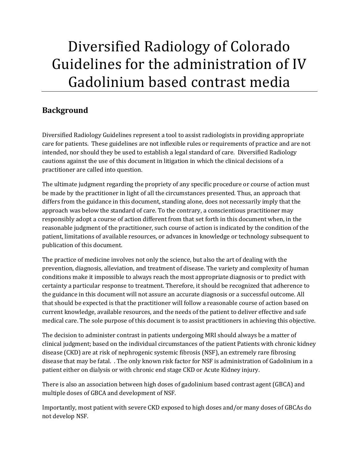# Diversified Radiology of Colorado Guidelines for the administration of IV Gadolinium based contrast media

# **Background**

Diversified Radiology Guidelines represent a tool to assist radiologists in providing appropriate care for patients. These guidelines are not inflexible rules or requirements of practice and are not intended, nor should they be used to establish a legal standard of care. Diversified Radiology cautions against the use of this document in litigation in which the clinical decisions of a practitioner are called into question.

The ultimate judgment regarding the propriety of any specific procedure or course of action must be made by the practitioner in light of all the circumstances presented. Thus, an approach that differs from the guidance in this document, standing alone, does not necessarily imply that the approach was below the standard of care. To the contrary, a conscientious practitioner may responsibly adopt a course of action different from that set forth in this document when, in the reasonable judgment of the practitioner, such course of action is indicated by the condition of the patient, limitations of available resources, or advances in knowledge or technology subsequent to publication of this document.

The practice of medicine involves not only the science, but also the art of dealing with the prevention, diagnosis, alleviation, and treatment of disease. The variety and complexity of human conditions make it impossible to always reach the most appropriate diagnosis or to predict with certainty a particular response to treatment. Therefore, it should be recognized that adherence to the guidance in this document will not assure an accurate diagnosis or a successful outcome. All that should be expected is that the practitioner will follow a reasonable course of action based on current knowledge, available resources, and the needs of the patient to deliver effective and safe medical care. The sole purpose of this document is to assist practitioners in achieving this objective.

The decision to administer contrast in patients undergoing MRI should always be a matter of clinical judgment; based on the individual circumstances of the patient Patients with chronic kidney disease (CKD) are at risk of nephrogenic systemic fibrosis (NSF), an extremely rare fibrosing disease that may be fatal. . The only known risk factor for NSF is administration of Gadolinium in a patient either on dialysis or with chronic end stage CKD or Acute Kidney injury.

There is also an association between high doses of gadolinium based contrast agent (GBCA) and multiple doses of GBCA and development of NSF.

Importantly, most patient with severe CKD exposed to high doses and/or many doses of GBCAs do not develop NSF.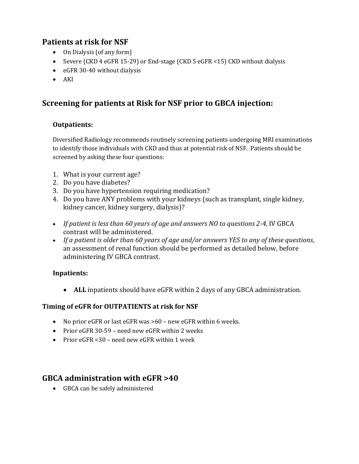# **Patients at risk for NSF**

- On Dialysis (of any form)
- Severe (CKD 4 eGFR 15-29) or End-stage (CKD 5 eGFR <15) CKD without dialysis
- eGFR 30-40 without dialysis
- $\bullet$  AKI

## **Screening for patients at Risk for NSF prior to GBCA injection:**

#### **Outpatients:**

Diversified Radiology recommends routinely screening patients undergoing MRI examinations to identify those individuals with CKD and thus at potential risk of NSF. Patients should be screened by asking these four questions:

- 1. What is your current age?
- 2. Do you have diabetes?
- 3. Do you have hypertension requiring medication?
- 4. Do you have ANY problems with your kidneys (such as transplant, single kidney, kidney cancer, kidney surgery, dialysis)?
- *If patient is less than 60 years of age and answers NO to questions 2-4*, IV GBCA contrast will be administered.
- *If a patient is older than 60 years of age and/or answers YES to any of these questions*, an assessment of renal function should be performed as detailed below, before administering IV GBCA contrast.

#### **Inpatients:**

**ALL** inpatients should have eGFR within 2 days of any GBCA administration.

#### **Timing of eGFR for OUTPATIENTS at risk for NSF**

- No prior eGFR or last eGFR was >60 new eGFR within 6 weeks.
- Prior eGFR 30-59 need new eGFR within 2 weeks
- Prior eGFR <30 need new eGFR within 1 week

### **GBCA administration with eGFR >40**

GBCA can be safely administered